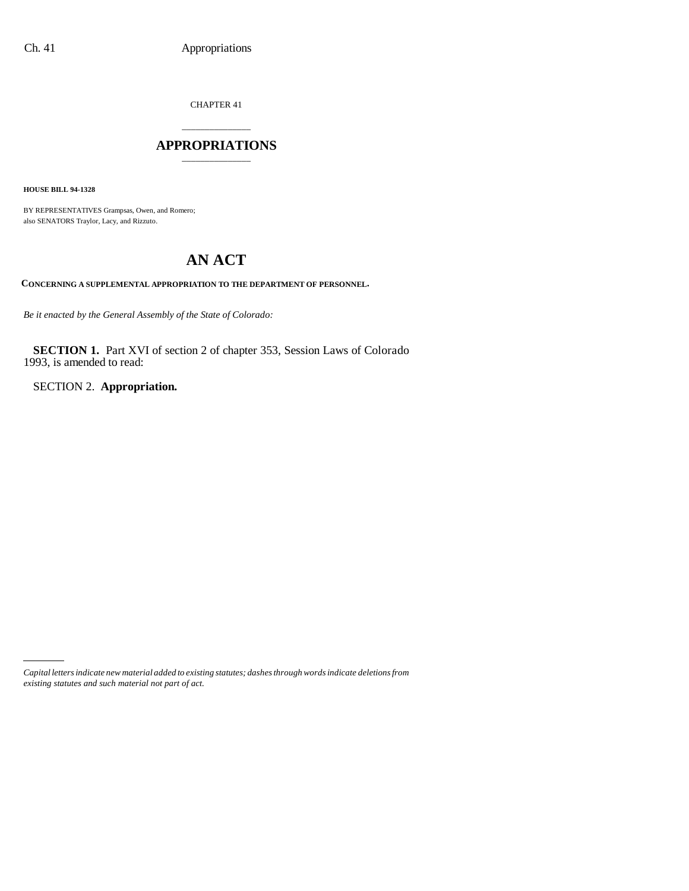CHAPTER 41

### \_\_\_\_\_\_\_\_\_\_\_\_\_\_\_ **APPROPRIATIONS** \_\_\_\_\_\_\_\_\_\_\_\_\_\_\_

**HOUSE BILL 94-1328**

BY REPRESENTATIVES Grampsas, Owen, and Romero; also SENATORS Traylor, Lacy, and Rizzuto.

# **AN ACT**

**CONCERNING A SUPPLEMENTAL APPROPRIATION TO THE DEPARTMENT OF PERSONNEL.**

*Be it enacted by the General Assembly of the State of Colorado:*

**SECTION 1.** Part XVI of section 2 of chapter 353, Session Laws of Colorado 1993, is amended to read:

SECTION 2. **Appropriation.**

*Capital letters indicate new material added to existing statutes; dashes through words indicate deletions from existing statutes and such material not part of act.*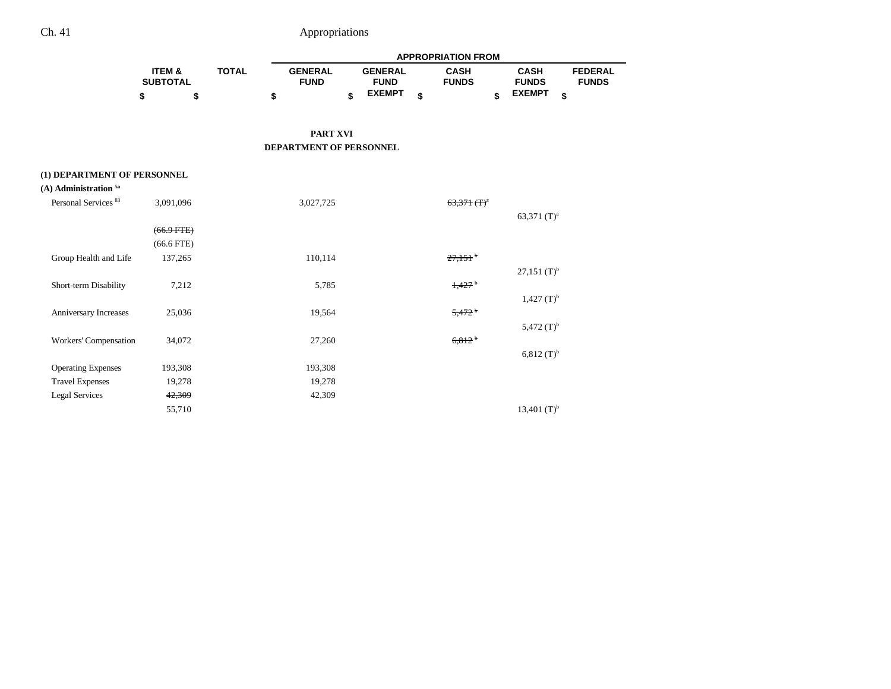|                                    |                           |              | <b>APPROPRIATION FROM</b>     |    |                               |    |                             |                             |                                |  |
|------------------------------------|---------------------------|--------------|-------------------------------|----|-------------------------------|----|-----------------------------|-----------------------------|--------------------------------|--|
|                                    | ITEM &<br><b>SUBTOTAL</b> | <b>TOTAL</b> | <b>GENERAL</b><br><b>FUND</b> |    | <b>GENERAL</b><br><b>FUND</b> |    | <b>CASH</b><br><b>FUNDS</b> | <b>CASH</b><br><b>FUNDS</b> | <b>FEDERAL</b><br><b>FUNDS</b> |  |
|                                    | \$<br>\$                  |              | \$                            | \$ | <b>EXEMPT</b>                 | \$ | \$                          | <b>EXEMPT</b>               | \$                             |  |
|                                    |                           |              | <b>PART XVI</b>               |    |                               |    |                             |                             |                                |  |
|                                    |                           |              | DEPARTMENT OF PERSONNEL       |    |                               |    |                             |                             |                                |  |
| (1) DEPARTMENT OF PERSONNEL        |                           |              |                               |    |                               |    |                             |                             |                                |  |
| $(A)$ Administration <sup>5a</sup> |                           |              |                               |    |                               |    |                             |                             |                                |  |
| Personal Services <sup>83</sup>    | 3,091,096                 |              | 3,027,725                     |    |                               |    | $63,371$ (T) <sup>a</sup>   |                             |                                |  |
|                                    |                           |              |                               |    |                               |    |                             | 63,371 $(T)^a$              |                                |  |
|                                    | $(66.9$ FTE)              |              |                               |    |                               |    |                             |                             |                                |  |
|                                    | $(66.6$ FTE)              |              |                               |    |                               |    |                             |                             |                                |  |
| Group Health and Life              | 137,265                   |              | 110,114                       |    |                               |    | $27,151$ <sup>b</sup>       |                             |                                |  |
|                                    |                           |              |                               |    |                               |    |                             | $27,151$ (T) <sup>b</sup>   |                                |  |
| Short-term Disability              | 7,212                     |              | 5,785                         |    |                               |    | 1,427                       |                             |                                |  |
|                                    |                           |              |                               |    |                               |    |                             | $1,427$ (T) <sup>b</sup>    |                                |  |
| Anniversary Increases              | 25,036                    |              | 19,564                        |    |                               |    | $5,472$ <sup>b</sup>        |                             |                                |  |
|                                    |                           |              |                               |    |                               |    |                             | 5,472 $(T)^{b}$             |                                |  |
| Workers' Compensation              | 34,072                    |              | 27,260                        |    |                               |    | $6,812$ <sup>b</sup>        |                             |                                |  |
|                                    |                           |              |                               |    |                               |    |                             | $6,812 (T)^b$               |                                |  |
| <b>Operating Expenses</b>          | 193,308                   |              | 193,308                       |    |                               |    |                             |                             |                                |  |
| <b>Travel Expenses</b>             | 19,278                    |              | 19,278                        |    |                               |    |                             |                             |                                |  |
| <b>Legal Services</b>              | 42,309                    |              | 42,309                        |    |                               |    |                             |                             |                                |  |
|                                    | 55,710                    |              |                               |    |                               |    |                             | 13,401 $(T)^{b}$            |                                |  |
|                                    |                           |              |                               |    |                               |    |                             |                             |                                |  |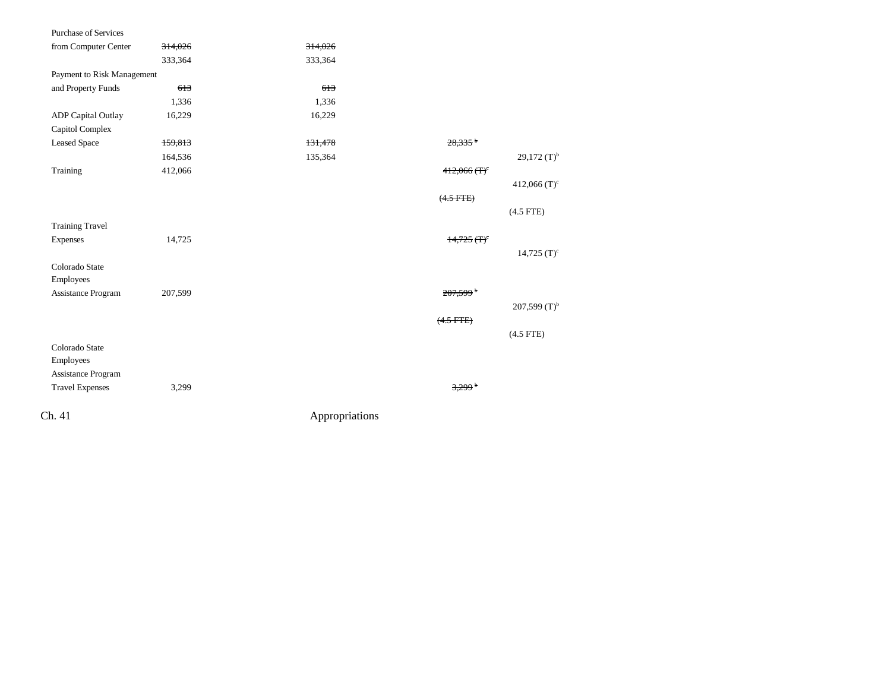| 314,026                    | 314,026 |                            |                           |
|----------------------------|---------|----------------------------|---------------------------|
| 333,364                    | 333,364 |                            |                           |
| Payment to Risk Management |         |                            |                           |
| 613                        | 613     |                            |                           |
| 1,336                      | 1,336   |                            |                           |
| 16,229                     | 16,229  |                            |                           |
|                            |         |                            |                           |
| 159,813                    | 131,478 | $28.335$ <sup>b</sup>      |                           |
| 164,536                    | 135,364 |                            | 29,172 $(T)^{b}$          |
| 412,066                    |         | $412,066$ (T) <sup>c</sup> |                           |
|                            |         |                            | 412,066 $(T)^c$           |
|                            |         | $(4.5$ FTE $)$             |                           |
|                            |         |                            | $(4.5$ FTE)               |
|                            |         |                            |                           |
| 14,725                     |         | $14,725$ (T) <sup>c</sup>  |                           |
|                            |         |                            | $14,725$ (T) <sup>c</sup> |
|                            |         |                            |                           |
|                            |         |                            |                           |
| 207,599                    |         | $207,599$ <sup>b</sup>     |                           |
|                            |         |                            | 207,599 $(T)^{b}$         |
|                            |         | $(4.5$ FTE)                |                           |
|                            |         |                            | $(4.5$ FTE)               |
|                            |         |                            |                           |
|                            |         |                            |                           |
|                            |         |                            |                           |
| 3,299                      |         | $3,299$ <sup>b</sup>       |                           |
|                            |         |                            |                           |
|                            |         | Appropriations             |                           |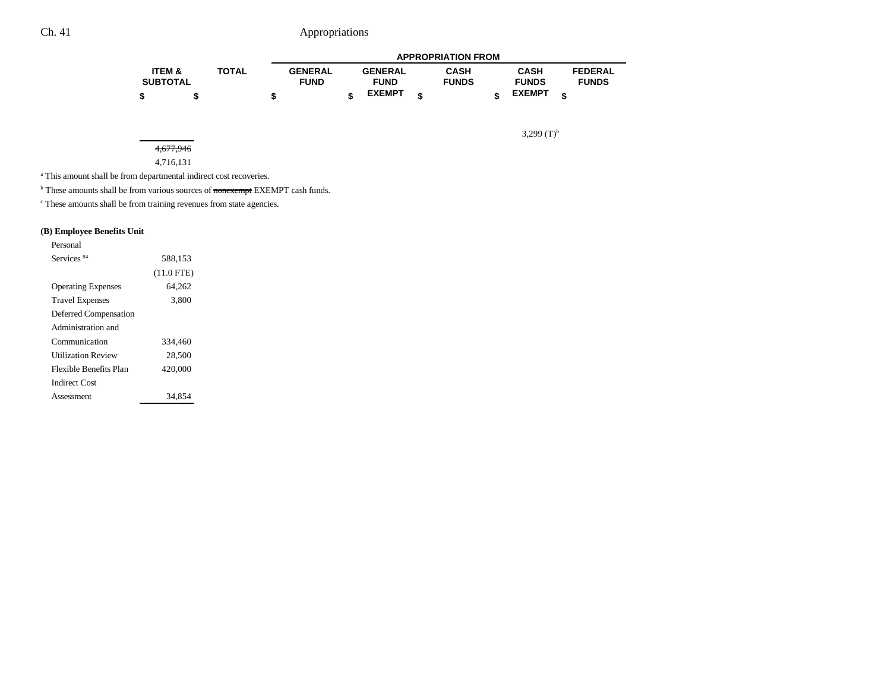|                   |              |                |                | <b>APPROPRIATION FROM</b> |               |                |  |
|-------------------|--------------|----------------|----------------|---------------------------|---------------|----------------|--|
| <b>ITEM &amp;</b> | <b>TOTAL</b> | <b>GENERAL</b> | <b>GENERAL</b> | <b>CASH</b>               | <b>CASH</b>   | <b>FEDERAL</b> |  |
| <b>SUBTOTAL</b>   |              | <b>FUND</b>    | <b>FUND</b>    | <b>FUNDS</b>              | <b>FUNDS</b>  | <b>FUNDS</b>   |  |
|                   |              |                | <b>EXEMPT</b>  |                           | <b>EXEMPT</b> | ¢              |  |

3,299 $(T)^{b}$ 

#### 4,677,946

#### 4,716,131

a This amount shall be from departmental indirect cost recoveries.

<sup>b</sup> These amounts shall be from various sources of nonexempt EXEMPT cash funds.

 $\cdot$  These amounts shall be from training revenues from state agencies.

#### **(B) Employee Benefits Unit**

| Personal                  |              |  |
|---------------------------|--------------|--|
| Services <sup>84</sup>    | 588.153      |  |
|                           | $(11.0$ FTE) |  |
| <b>Operating Expenses</b> | 64,262       |  |
| <b>Travel Expenses</b>    | 3,800        |  |
| Deferred Compensation     |              |  |
| Administration and        |              |  |
| Communication             | 334,460      |  |
| Utilization Review        | 28,500       |  |
| Flexible Benefits Plan    | 420,000      |  |
| Indirect Cost             |              |  |
| Assessment                | 34,854       |  |
|                           |              |  |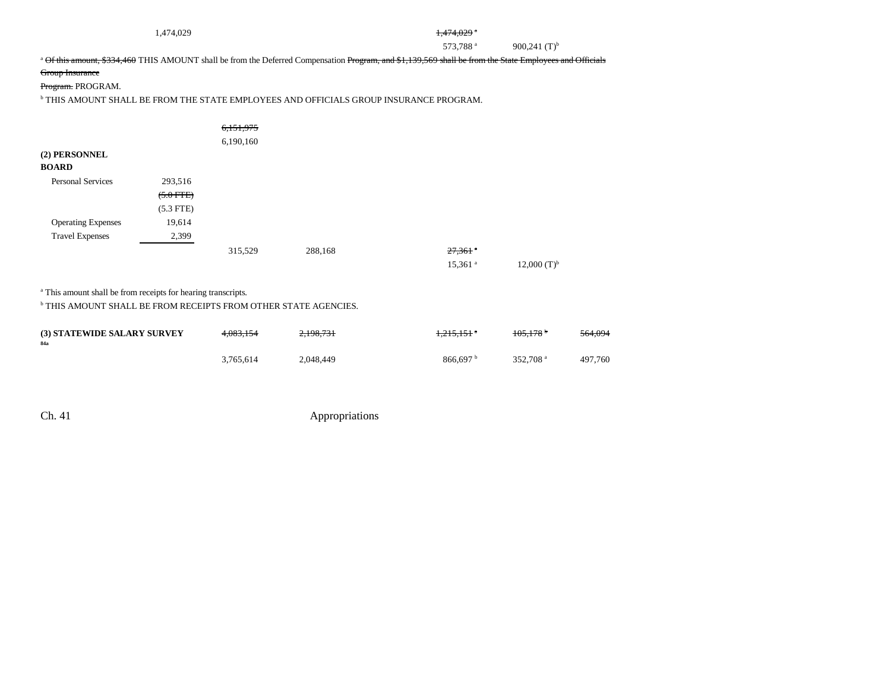| 1,474,029 |  |  |  |  |
|-----------|--|--|--|--|
|-----------|--|--|--|--|

#### $1,474,029$ <sup>a</sup>

573,788 a 900,241 (T)<sup>b</sup>

<sup>a</sup> Of this amount, \$334,460 THIS AMOUNT shall be from the Deferred Compensation Program, and \$1,139,569 shall be from the State Employees and Officials

#### Group Insurance

Program. PROGRAM.

 $^{\rm b}$  THIS AMOUNT SHALL BE FROM THE STATE EMPLOYEES AND OFFICIALS GROUP INSURANCE PROGRAM.

|                               |             | 6,151,975 |         |                       |                    |
|-------------------------------|-------------|-----------|---------|-----------------------|--------------------|
|                               |             | 6,190,160 |         |                       |                    |
| (2) PERSONNEL<br><b>BOARD</b> |             |           |         |                       |                    |
| <b>Personal Services</b>      | 293,516     |           |         |                       |                    |
|                               | $(5.0$ FTE) |           |         |                       |                    |
|                               | $(5.3$ FTE) |           |         |                       |                    |
| <b>Operating Expenses</b>     | 19,614      |           |         |                       |                    |
| <b>Travel Expenses</b>        | 2,399       |           |         |                       |                    |
|                               |             | 315,529   | 288,168 | $27,361$ $^{\circ}$   |                    |
|                               |             |           |         | $15,361$ <sup>a</sup> | $12,000$ $(T)^{b}$ |

<sup>a</sup> This amount shall be from receipts for hearing transcripts.

b THIS AMOUNT SHALL BE FROM RECEIPTS FROM OTHER STATE AGENCIES.

| <b>(3) STATEWIDE SALARY SURVEY</b><br>84a | 4.083.154 | 2,198,731 | <del>1,215,151</del> * | $105.178^{\circ}$    | 564,094 |
|-------------------------------------------|-----------|-----------|------------------------|----------------------|---------|
|                                           | 3.765.614 | 2.048.449 | 866.697 <sup>b</sup>   | 352,708 <sup>a</sup> | 497.760 |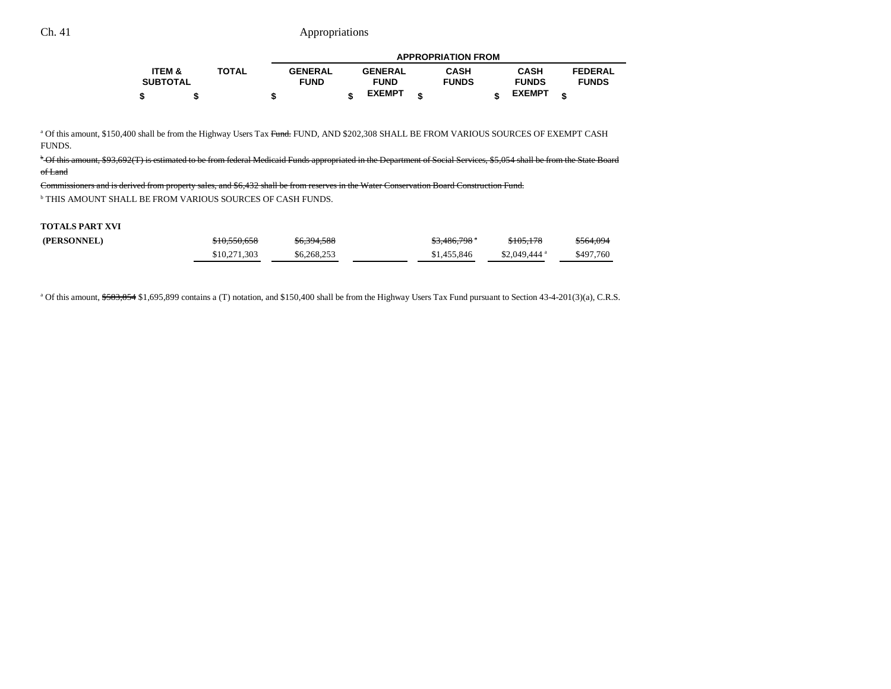|                   |              |                |                | <b>APPROPRIATION FROM</b> |               |                |
|-------------------|--------------|----------------|----------------|---------------------------|---------------|----------------|
| <b>ITEM &amp;</b> | <b>TOTAL</b> | <b>GENERAL</b> | <b>GENERAL</b> | <b>CASH</b>               | <b>CASH</b>   | <b>FEDERAL</b> |
| <b>SUBTOTAL</b>   |              | <b>FUND</b>    | <b>FUND</b>    | <b>FUNDS</b>              | <b>FUNDS</b>  | <b>FUNDS</b>   |
|                   |              |                | <b>EXEMPT</b>  |                           | <b>EXEMPT</b> |                |

<sup>a</sup> Of this amount, \$150,400 shall be from the Highway Users Tax Fund. FUND, AND \$202,308 SHALL BE FROM VARIOUS SOURCES OF EXEMPT CASH FUNDS.

<sup>b</sup> Of this amount, \$93,692(T) is estimated to be from federal Medicaid Funds appropriated in the Department of Social Services, \$5,054 shall be from the State Board of Land

Commissioners and is derived from property sales, and \$6,432 shall be from reserves in the Water Conservation Board Construction Fund. b THIS AMOUNT SHALL BE FROM VARIOUS SOURCES OF CASH FUNDS.

#### **TOTALS PART XVI**

| (PERSONNEL) | \$10,550,658 | \$6,394,588 | $$3,486,798$ $"$ | \$105,178                 | <del>\$564,094</del> |
|-------------|--------------|-------------|------------------|---------------------------|----------------------|
|             | \$10.271.303 | \$6,268,253 | \$1.455,846      | $$2.049.444$ <sup>a</sup> | \$497.760            |

<sup>a</sup> Of this amount, \$583,854 \$1,695,899 contains a (T) notation, and \$150,400 shall be from the Highway Users Tax Fund pursuant to Section 43-4-201(3)(a), C.R.S.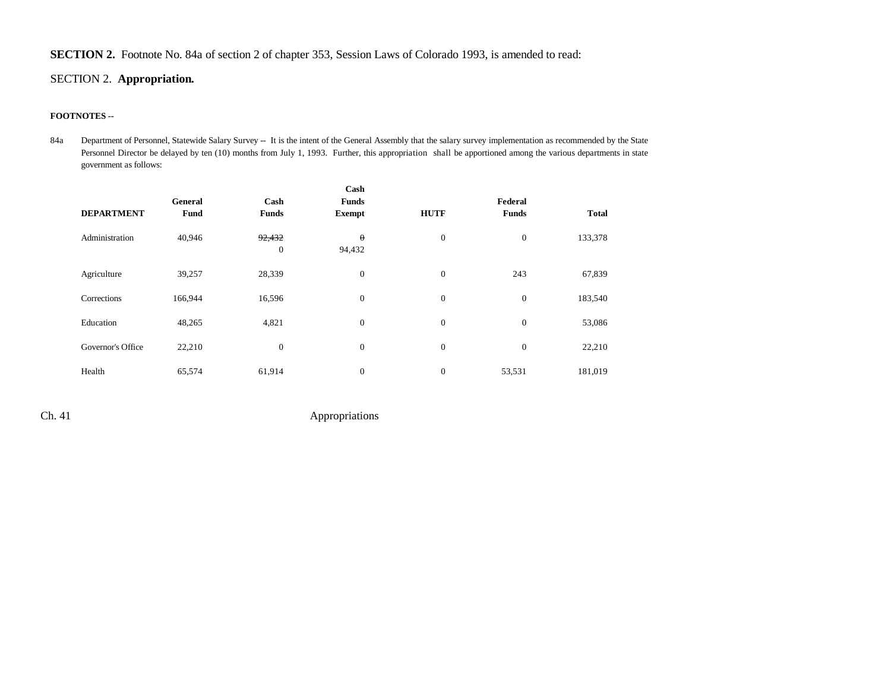### **SECTION 2.** Footnote No. 84a of section 2 of chapter 353, Session Laws of Colorado 1993, is amended to read:

### SECTION 2. **Appropriation.**

#### **FOOTNOTES --**

84a Department of Personnel, Statewide Salary Survey -- It is the intent of the General Assembly that the salary survey implementation as recommended by the State Personnel Director be delayed by ten (10) months from July 1, 1993. Further, this appropriation shall be apportioned among the various departments in state government as follows:

|                   |             |                            | Cash               |                  |              |              |
|-------------------|-------------|----------------------------|--------------------|------------------|--------------|--------------|
|                   | General     | Cash                       | <b>Funds</b>       |                  | Federal      |              |
| <b>DEPARTMENT</b> | <b>Fund</b> | <b>Funds</b>               | <b>Exempt</b>      | <b>HUTF</b>      | <b>Funds</b> | <b>Total</b> |
| Administration    | 40,946      | 92,432<br>$\boldsymbol{0}$ | $\theta$<br>94,432 | $\mathbf{0}$     | $\mathbf{0}$ | 133,378      |
| Agriculture       | 39,257      | 28,339                     | $\boldsymbol{0}$   | $\mathbf{0}$     | 243          | 67,839       |
| Corrections       | 166,944     | 16,596                     | $\boldsymbol{0}$   | $\boldsymbol{0}$ | $\mathbf{0}$ | 183,540      |
| Education         | 48,265      | 4,821                      | $\boldsymbol{0}$   | $\boldsymbol{0}$ | $\mathbf{0}$ | 53,086       |
| Governor's Office | 22,210      | $\mathbf{0}$               | $\boldsymbol{0}$   | $\boldsymbol{0}$ | $\mathbf{0}$ | 22,210       |
| Health            | 65,574      | 61,914                     | $\boldsymbol{0}$   | $\boldsymbol{0}$ | 53,531       | 181,019      |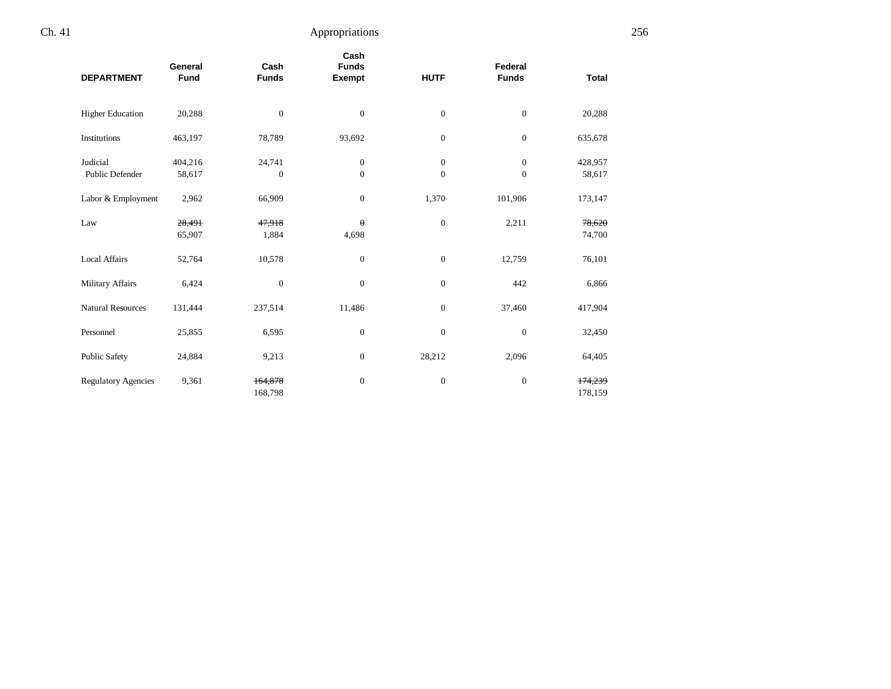| <b>DEPARTMENT</b>                  | General<br><b>Fund</b> | Cash<br><b>Funds</b>   | Cash<br><b>Funds</b><br>Exempt | <b>HUTF</b>                    | Federal<br><b>Funds</b>        | <b>Total</b>       |  |
|------------------------------------|------------------------|------------------------|--------------------------------|--------------------------------|--------------------------------|--------------------|--|
| <b>Higher Education</b>            | 20,288                 | $\mathbf{0}$           | $\mathbf{0}$                   | $\mathbf{0}$                   | $\boldsymbol{0}$               | 20,288             |  |
| Institutions                       | 463,197                | 78,789                 | 93,692                         | $\mathbf{0}$                   | $\overline{0}$                 | 635,678            |  |
| Judicial<br><b>Public Defender</b> | 404,216<br>58,617      | 24,741<br>$\mathbf{0}$ | $\mathbf{0}$<br>$\mathbf{0}$   | $\overline{0}$<br>$\mathbf{0}$ | $\overline{0}$<br>$\mathbf{0}$ | 428,957<br>58,617  |  |
| Labor & Employment                 | 2,962                  | 66,909                 | $\mathbf{0}$                   | 1,370                          | 101,906                        | 173,147            |  |
| Law                                | 28,491<br>65,907       | 47,918<br>1,884        | $\theta$<br>4,698              | $\mathbf{0}$                   | 2,211                          | 78,620<br>74,700   |  |
| <b>Local Affairs</b>               | 52,764                 | 10,578                 | $\mathbf{0}$                   | $\boldsymbol{0}$               | 12,759                         | 76,101             |  |
| Military Affairs                   | 6,424                  | $\mathbf{0}$           | $\mathbf{0}$                   | $\mathbf{0}$                   | 442                            | 6,866              |  |
| <b>Natural Resources</b>           | 131,444                | 237,514                | 11,486                         | $\mathbf{0}$                   | 37,460                         | 417,904            |  |
| Personnel                          | 25,855                 | 6,595                  | $\mathbf{0}$                   | $\mathbf{0}$                   | $\boldsymbol{0}$               | 32,450             |  |
| <b>Public Safety</b>               | 24,884                 | 9,213                  | $\mathbf{0}$                   | 28,212                         | 2,096                          | 64,405             |  |
| <b>Regulatory Agencies</b>         | 9,361                  | 164,878<br>168,798     | $\mathbf{0}$                   | $\mathbf{0}$                   | $\boldsymbol{0}$               | 174,239<br>178,159 |  |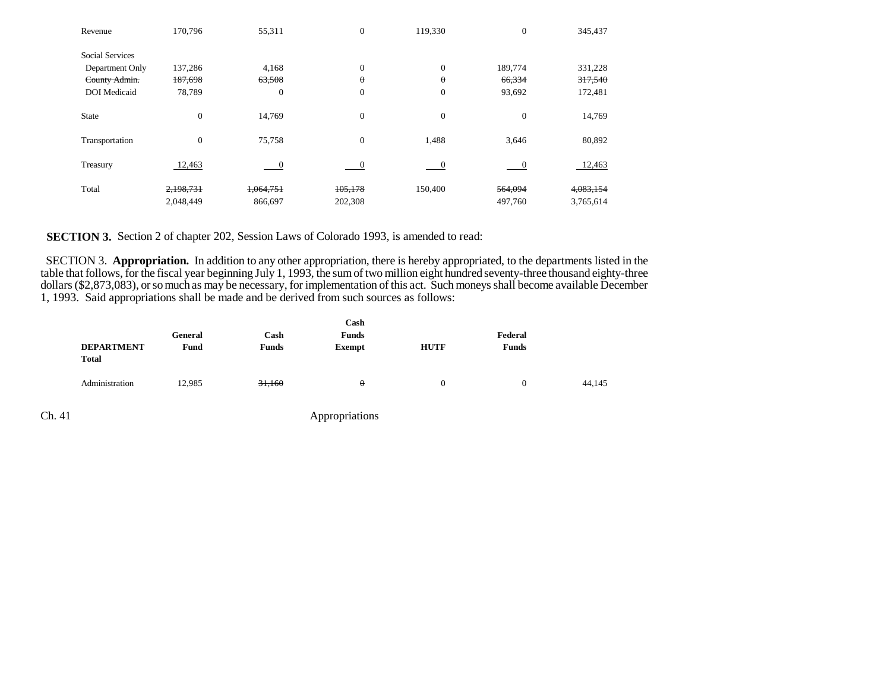| Revenue                | 170,796        | 55,311                   | $\mathbf{0}$ | 119,330                  | $\boldsymbol{0}$ | 345,437   |
|------------------------|----------------|--------------------------|--------------|--------------------------|------------------|-----------|
| <b>Social Services</b> |                |                          |              |                          |                  |           |
| Department Only        | 137,286        | 4,168                    | $\mathbf{0}$ | $\mathbf{0}$             | 189,774          | 331,228   |
| County Admin.          | 187,698        | 63,508                   | $\theta$     | $\theta$                 | 66,334           | 317,540   |
| <b>DOI</b> Medicaid    | 78,789         | $\boldsymbol{0}$         | $\mathbf{0}$ | $\boldsymbol{0}$         | 93,692           | 172,481   |
|                        |                |                          |              |                          |                  |           |
| State                  | $\overline{0}$ | 14,769                   | $\mathbf{0}$ | $\overline{0}$           | $\mathbf{0}$     | 14,769    |
|                        |                |                          |              |                          |                  |           |
| Transportation         | $\overline{0}$ | 75,758                   | $\mathbf{0}$ | 1,488                    | 3,646            | 80,892    |
|                        |                |                          |              |                          |                  |           |
| Treasury               | 12,463         | $\overline{\phantom{0}}$ |              | $\overline{\phantom{0}}$ |                  | 12,463    |
|                        |                |                          |              |                          |                  |           |
| Total                  | 2,198,731      | 1,064,751                | 105,178      | 150,400                  | 564,094          | 4,083,154 |
|                        | 2,048,449      | 866,697                  | 202,308      |                          | 497,760          | 3,765,614 |

**SECTION 3.** Section 2 of chapter 202, Session Laws of Colorado 1993, is amended to read:

 SECTION 3. **Appropriation.** In addition to any other appropriation, there is hereby appropriated, to the departments listed in the table that follows, for the fiscal year beginning July 1, 1993, the sum of two million eight hundred seventy-three thousand eighty-three dollars (\$2,873,083), or so much as may be necessary, for implementation of this act. Such moneys shall become available December 1, 1993. Said appropriations shall be made and be derived from such sources as follows:

|                                   | General | Cash         | <b>Funds</b>  |             | Federal      |        |
|-----------------------------------|---------|--------------|---------------|-------------|--------------|--------|
| <b>DEPARTMENT</b><br><b>Total</b> | Fund    | <b>Funds</b> | <b>Exempt</b> | <b>HUTF</b> | <b>Funds</b> |        |
| Administration                    | 12,985  | 31,160       | $\theta$      | 0           |              | 44,145 |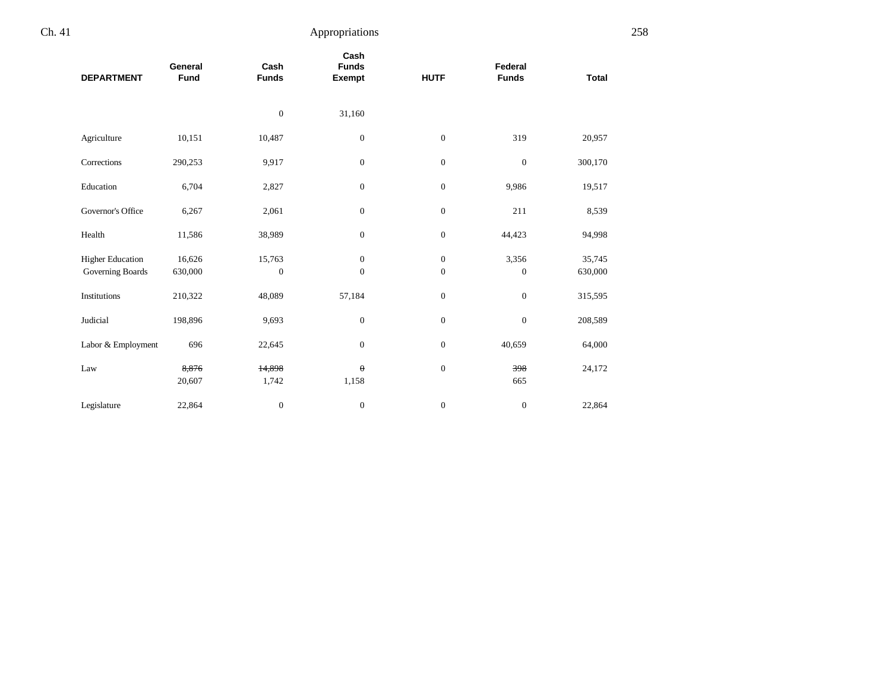| <b>DEPARTMENT</b>                           | General<br>Fund   | Cash<br><b>Funds</b>       | Cash<br><b>Funds</b><br><b>Exempt</b> | <b>HUTF</b>                      | Federal<br><b>Funds</b> | <b>Total</b>      |  |
|---------------------------------------------|-------------------|----------------------------|---------------------------------------|----------------------------------|-------------------------|-------------------|--|
|                                             |                   | $\boldsymbol{0}$           | 31,160                                |                                  |                         |                   |  |
| Agriculture                                 | 10,151            | 10,487                     | $\boldsymbol{0}$                      | $\boldsymbol{0}$                 | 319                     | 20,957            |  |
| Corrections                                 | 290,253           | 9,917                      | $\mathbf{0}$                          | $\mathbf{0}$                     | $\mathbf{0}$            | 300,170           |  |
| Education                                   | 6,704             | 2,827                      | $\boldsymbol{0}$                      | $\boldsymbol{0}$                 | 9,986                   | 19,517            |  |
| Governor's Office                           | 6,267             | 2,061                      | $\mathbf{0}$                          | $\mathbf{0}$                     | 211                     | 8,539             |  |
| Health                                      | 11,586            | 38,989                     | $\boldsymbol{0}$                      | $\boldsymbol{0}$                 | 44,423                  | 94,998            |  |
| <b>Higher Education</b><br>Governing Boards | 16,626<br>630,000 | 15,763<br>$\boldsymbol{0}$ | $\mathbf{0}$<br>$\boldsymbol{0}$      | $\mathbf{0}$<br>$\boldsymbol{0}$ | 3,356<br>$\mathbf{0}$   | 35,745<br>630,000 |  |
| Institutions                                | 210,322           | 48,089                     | 57,184                                | $\mathbf{0}$                     | $\boldsymbol{0}$        | 315,595           |  |
| Judicial                                    | 198,896           | 9,693                      | $\boldsymbol{0}$                      | $\boldsymbol{0}$                 | $\mathbf{0}$            | 208,589           |  |
| Labor & Employment                          | 696               | 22,645                     | $\mathbf{0}$                          | $\mathbf{0}$                     | 40,659                  | 64,000            |  |
| Law                                         | 8,876<br>20,607   | 14,898<br>1,742            | $\theta$<br>1,158                     | $\mathbf{0}$                     | 398<br>665              | 24,172            |  |
| Legislature                                 | 22,864            | $\boldsymbol{0}$           | $\boldsymbol{0}$                      | $\boldsymbol{0}$                 | $\boldsymbol{0}$        | 22,864            |  |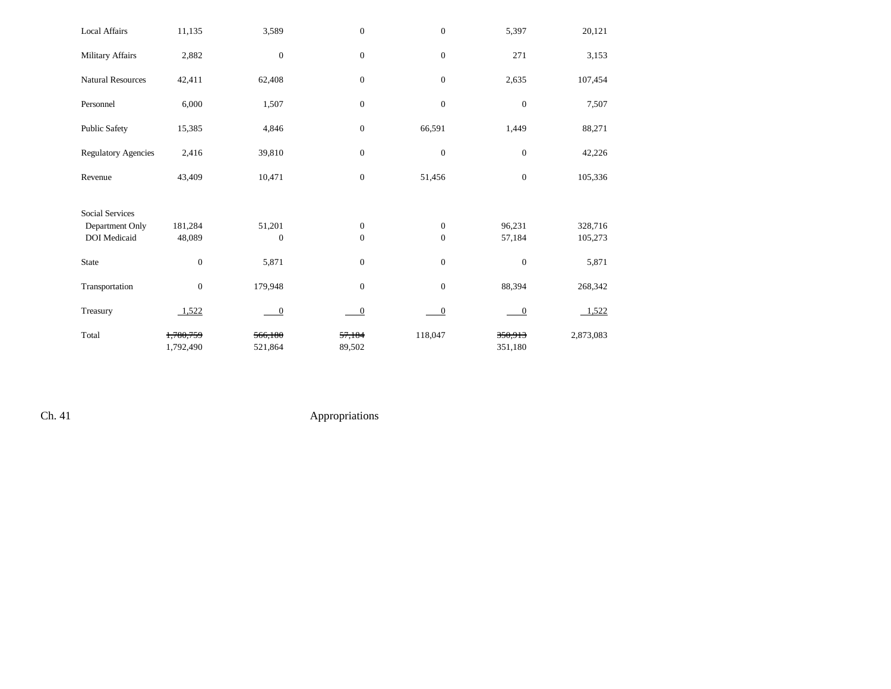| <b>Local Affairs</b>       | 11,135                 | 3,589              | $\boldsymbol{0}$ | $\mathbf{0}$     | 5,397              | 20,121    |
|----------------------------|------------------------|--------------------|------------------|------------------|--------------------|-----------|
| Military Affairs           | 2,882                  | $\boldsymbol{0}$   | $\boldsymbol{0}$ | $\mathbf{0}$     | 271                | 3,153     |
| <b>Natural Resources</b>   | 42,411                 | 62,408             | $\boldsymbol{0}$ | $\mathbf{0}$     | 2,635              | 107,454   |
| Personnel                  | 6,000                  | 1,507              | $\boldsymbol{0}$ | $\boldsymbol{0}$ | $\boldsymbol{0}$   | 7,507     |
| <b>Public Safety</b>       | 15,385                 | 4,846              | $\mathbf{0}$     | 66,591           | 1,449              | 88,271    |
| <b>Regulatory Agencies</b> | 2,416                  | 39,810             | $\boldsymbol{0}$ | $\mathbf{0}$     | $\boldsymbol{0}$   | 42,226    |
| Revenue                    | 43,409                 | 10,471             | $\boldsymbol{0}$ | 51,456           | $\boldsymbol{0}$   | 105,336   |
|                            |                        |                    |                  |                  |                    |           |
| <b>Social Services</b>     |                        |                    |                  |                  |                    |           |
| Department Only            | 181,284                | 51,201             | $\mathbf{0}$     | $\mathbf{0}$     | 96,231             | 328,716   |
| <b>DOI</b> Medicaid        | 48,089                 | $\boldsymbol{0}$   | $\mathbf{0}$     | $\mathbf{0}$     | 57,184             | 105,273   |
| <b>State</b>               | $\boldsymbol{0}$       | 5,871              | $\boldsymbol{0}$ | $\boldsymbol{0}$ | $\boldsymbol{0}$   | 5,871     |
| Transportation             | $\boldsymbol{0}$       | 179,948            | $\overline{0}$   | $\mathbf{0}$     | 88,394             | 268,342   |
| Treasury                   | 1,522                  | $\overline{0}$     | $\mathbf 0$      | $\mathbf{0}$     | $\boldsymbol{0}$   | 1,522     |
| Total                      | 1,780,759<br>1,792,490 | 566,180<br>521,864 | 57,184<br>89,502 | 118,047          | 350,913<br>351,180 | 2,873,083 |